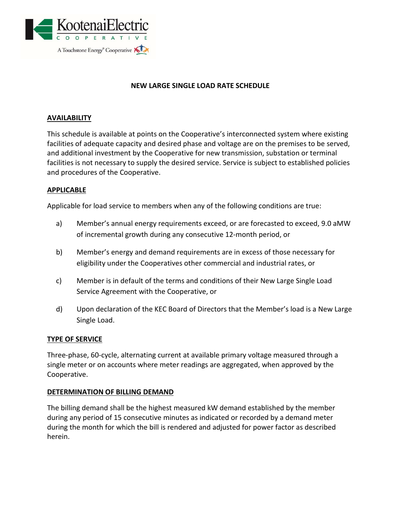

# **NEW LARGE SINGLE LOAD RATE SCHEDULE**

### **AVAILABILITY**

This schedule is available at points on the Cooperative's interconnected system where existing facilities of adequate capacity and desired phase and voltage are on the premises to be served, and additional investment by the Cooperative for new transmission, substation or terminal facilities is not necessary to supply the desired service. Service is subject to established policies and procedures of the Cooperative.

#### **APPLICABLE**

Applicable for load service to members when any of the following conditions are true:

- a) Member's annual energy requirements exceed, or are forecasted to exceed, 9.0 aMW of incremental growth during any consecutive 12-month period, or
- b) Member's energy and demand requirements are in excess of those necessary for eligibility under the Cooperatives other commercial and industrial rates, or
- c) Member is in default of the terms and conditions of their New Large Single Load Service Agreement with the Cooperative, or
- d) Upon declaration of the KEC Board of Directors that the Member's load is a New Large Single Load.

#### **TYPE OF SERVICE**

Three-phase, 60-cycle, alternating current at available primary voltage measured through a single meter or on accounts where meter readings are aggregated, when approved by the Cooperative.

#### **DETERMINATION OF BILLING DEMAND**

The billing demand shall be the highest measured kW demand established by the member during any period of 15 consecutive minutes as indicated or recorded by a demand meter during the month for which the bill is rendered and adjusted for power factor as described herein.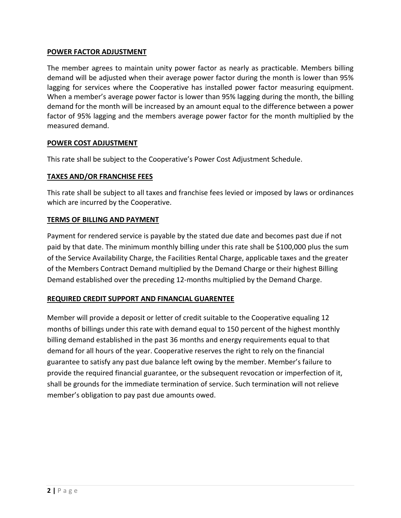## **POWER FACTOR ADJUSTMENT**

The member agrees to maintain unity power factor as nearly as practicable. Members billing demand will be adjusted when their average power factor during the month is lower than 95% lagging for services where the Cooperative has installed power factor measuring equipment. When a member's average power factor is lower than 95% lagging during the month, the billing demand for the month will be increased by an amount equal to the difference between a power factor of 95% lagging and the members average power factor for the month multiplied by the measured demand.

## **POWER COST ADJUSTMENT**

This rate shall be subject to the Cooperative's Power Cost Adjustment Schedule.

# **TAXES AND/OR FRANCHISE FEES**

This rate shall be subject to all taxes and franchise fees levied or imposed by laws or ordinances which are incurred by the Cooperative.

# **TERMS OF BILLING AND PAYMENT**

Payment for rendered service is payable by the stated due date and becomes past due if not paid by that date. The minimum monthly billing under this rate shall be \$100,000 plus the sum of the Service Availability Charge, the Facilities Rental Charge, applicable taxes and the greater of the Members Contract Demand multiplied by the Demand Charge or their highest Billing Demand established over the preceding 12-months multiplied by the Demand Charge.

# **REQUIRED CREDIT SUPPORT AND FINANCIAL GUARENTEE**

Member will provide a deposit or letter of credit suitable to the Cooperative equaling 12 months of billings under this rate with demand equal to 150 percent of the highest monthly billing demand established in the past 36 months and energy requirements equal to that demand for all hours of the year. Cooperative reserves the right to rely on the financial guarantee to satisfy any past due balance left owing by the member. Member's failure to provide the required financial guarantee, or the subsequent revocation or imperfection of it, shall be grounds for the immediate termination of service. Such termination will not relieve member's obligation to pay past due amounts owed.